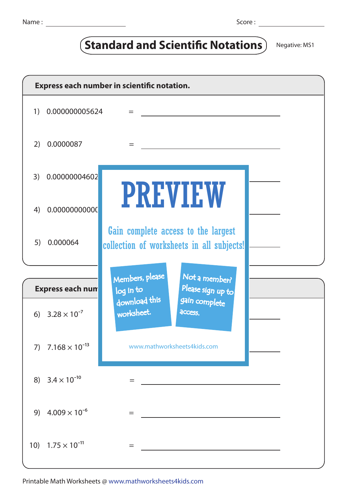## **Standard and Scientific Notations** Negative: MS1

| Express each number in scientific notation. |                            |                                                                                                      |  |  |  |  |  |
|---------------------------------------------|----------------------------|------------------------------------------------------------------------------------------------------|--|--|--|--|--|
| 1)                                          | 0.000000005624             | $=$                                                                                                  |  |  |  |  |  |
| 2)                                          | 0.0000087                  | $=$                                                                                                  |  |  |  |  |  |
| 3)                                          | 0.00000004602              |                                                                                                      |  |  |  |  |  |
| 4)                                          | 0.00000000000              | <b>PREVIEW</b>                                                                                       |  |  |  |  |  |
| 5)                                          | 0.000064                   | Gain complete access to the largest<br>collection of worksheets in all subjects!                     |  |  |  |  |  |
|                                             |                            |                                                                                                      |  |  |  |  |  |
| <b>Express each num</b>                     |                            | Members, please<br>Not a member?<br>Please sign up to<br>log in to<br>download this<br>gain complete |  |  |  |  |  |
|                                             | 6) $3.28 \times 10^{-7}$   | worksheet.<br>access.                                                                                |  |  |  |  |  |
| 7)                                          | $7.168 \times 10^{-13}$    | www.mathworksheets4kids.com                                                                          |  |  |  |  |  |
|                                             | 8) $3.4 \times 10^{-10}$   | =                                                                                                    |  |  |  |  |  |
|                                             | 9) $4.009 \times 10^{-6}$  | $=$                                                                                                  |  |  |  |  |  |
|                                             | 10) $1.75 \times 10^{-11}$ | $=$                                                                                                  |  |  |  |  |  |

Printable Math Worksheets @ www.mathworksheets4kids.com